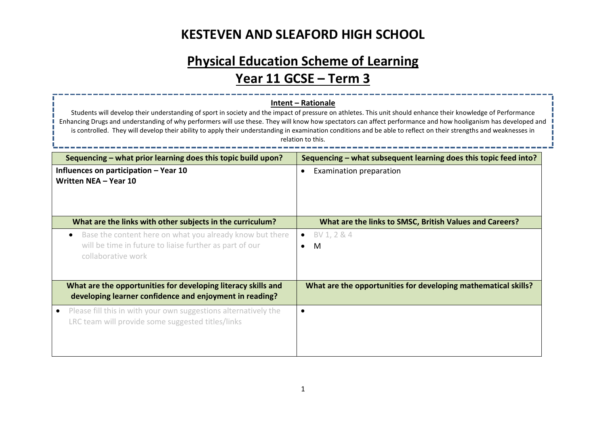## **Physical Education Scheme of Learning Year 11 GCSE – Term 3**

#### **Intent – Rationale**

Students will develop their understanding of sport in society and the impact of pressure on athletes. This unit should enhance their knowledge of Performance Enhancing Drugs and understanding of why performers will use these. They will know how spectators can affect performance and how hooliganism has developed and is controlled. They will develop their ability to apply their understanding in examination conditions and be able to reflect on their strengths and weaknesses in relation to this.

| Sequencing – what prior learning does this topic build upon?                                                                                           | Sequencing – what subsequent learning does this topic feed into? |
|--------------------------------------------------------------------------------------------------------------------------------------------------------|------------------------------------------------------------------|
| Influences on participation $-$ Year 10<br>Written NEA - Year 10                                                                                       | Examination preparation<br>$\bullet$                             |
| What are the links with other subjects in the curriculum?                                                                                              | What are the links to SMSC, British Values and Careers?          |
| Base the content here on what you already know but there<br>$\bullet$<br>will be time in future to liaise further as part of our<br>collaborative work | BV 1, 2 & 4<br>$\bullet$<br>M<br>$\bullet$                       |
| What are the opportunities for developing literacy skills and<br>developing learner confidence and enjoyment in reading?                               | What are the opportunities for developing mathematical skills?   |
| Please fill this in with your own suggestions alternatively the<br>LRC team will provide some suggested titles/links                                   |                                                                  |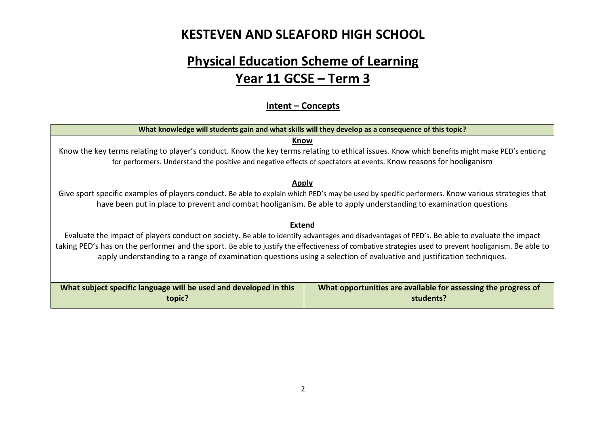## **Physical Education Scheme of Learning Year 11 GCSE – Term 3**

#### **Intent – Concepts**

| What knowledge will students gain and what skills will they develop as a consequence of this topic?                                                                                                                                                                                                                                                                                                                                             |                                                                |  |  |  |
|-------------------------------------------------------------------------------------------------------------------------------------------------------------------------------------------------------------------------------------------------------------------------------------------------------------------------------------------------------------------------------------------------------------------------------------------------|----------------------------------------------------------------|--|--|--|
| Know                                                                                                                                                                                                                                                                                                                                                                                                                                            |                                                                |  |  |  |
| Know the key terms relating to player's conduct. Know the key terms relating to ethical issues. Know which benefits might make PED's enticing                                                                                                                                                                                                                                                                                                   |                                                                |  |  |  |
| for performers. Understand the positive and negative effects of spectators at events. Know reasons for hooliganism                                                                                                                                                                                                                                                                                                                              |                                                                |  |  |  |
| <b>Apply</b>                                                                                                                                                                                                                                                                                                                                                                                                                                    |                                                                |  |  |  |
| Give sport specific examples of players conduct. Be able to explain which PED's may be used by specific performers. Know various strategies that                                                                                                                                                                                                                                                                                                |                                                                |  |  |  |
| have been put in place to prevent and combat hooliganism. Be able to apply understanding to examination questions                                                                                                                                                                                                                                                                                                                               |                                                                |  |  |  |
| <b>Extend</b><br>Evaluate the impact of players conduct on society. Be able to identify advantages and disadvantages of PED's. Be able to evaluate the impact<br>taking PED's has on the performer and the sport. Be able to justify the effectiveness of combative strategies used to prevent hooliganism. Be able to<br>apply understanding to a range of examination questions using a selection of evaluative and justification techniques. |                                                                |  |  |  |
| What subject specific language will be used and developed in this                                                                                                                                                                                                                                                                                                                                                                               | What opportunities are available for assessing the progress of |  |  |  |
| topic?                                                                                                                                                                                                                                                                                                                                                                                                                                          | students?                                                      |  |  |  |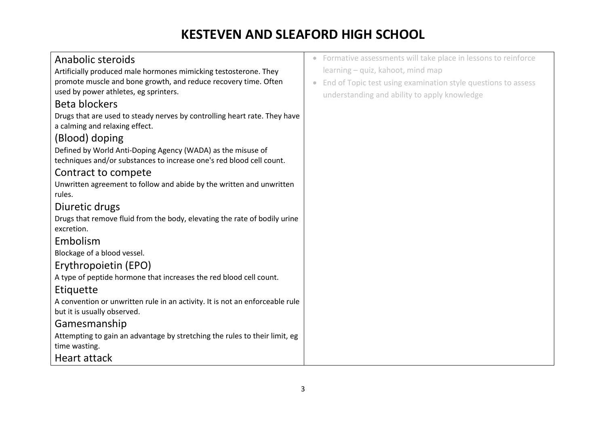| Anabolic steroids                                                            | • Formative assessments will take place in lessons to reinforce                   |
|------------------------------------------------------------------------------|-----------------------------------------------------------------------------------|
| Artificially produced male hormones mimicking testosterone. They             | learning - quiz, kahoot, mind map                                                 |
| promote muscle and bone growth, and reduce recovery time. Often              | End of Topic test using examination style questions to assess<br>$\hfill \bullet$ |
| used by power athletes, eg sprinters.                                        | understanding and ability to apply knowledge                                      |
| Beta blockers                                                                |                                                                                   |
| Drugs that are used to steady nerves by controlling heart rate. They have    |                                                                                   |
| a calming and relaxing effect.                                               |                                                                                   |
| (Blood) doping                                                               |                                                                                   |
| Defined by World Anti-Doping Agency (WADA) as the misuse of                  |                                                                                   |
| techniques and/or substances to increase one's red blood cell count.         |                                                                                   |
| Contract to compete                                                          |                                                                                   |
| Unwritten agreement to follow and abide by the written and unwritten         |                                                                                   |
| rules.                                                                       |                                                                                   |
| Diuretic drugs                                                               |                                                                                   |
| Drugs that remove fluid from the body, elevating the rate of bodily urine    |                                                                                   |
| excretion.                                                                   |                                                                                   |
| Embolism                                                                     |                                                                                   |
| Blockage of a blood vessel.                                                  |                                                                                   |
| Erythropoietin (EPO)                                                         |                                                                                   |
| A type of peptide hormone that increases the red blood cell count.           |                                                                                   |
| Etiquette                                                                    |                                                                                   |
| A convention or unwritten rule in an activity. It is not an enforceable rule |                                                                                   |
| but it is usually observed.                                                  |                                                                                   |
| Gamesmanship                                                                 |                                                                                   |
| Attempting to gain an advantage by stretching the rules to their limit, eg   |                                                                                   |
| time wasting.                                                                |                                                                                   |
| Heart attack                                                                 |                                                                                   |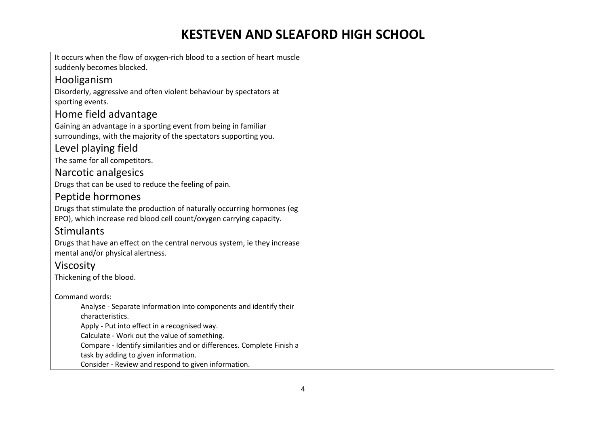| It occurs when the flow of oxygen-rich blood to a section of heart muscle             |
|---------------------------------------------------------------------------------------|
| suddenly becomes blocked.                                                             |
| Hooliganism                                                                           |
| Disorderly, aggressive and often violent behaviour by spectators at                   |
| sporting events.                                                                      |
| Home field advantage                                                                  |
| Gaining an advantage in a sporting event from being in familiar                       |
| surroundings, with the majority of the spectators supporting you.                     |
| Level playing field                                                                   |
| The same for all competitors.                                                         |
| Narcotic analgesics                                                                   |
| Drugs that can be used to reduce the feeling of pain.                                 |
| Peptide hormones                                                                      |
| Drugs that stimulate the production of naturally occurring hormones (eg               |
| EPO), which increase red blood cell count/oxygen carrying capacity.                   |
| <b>Stimulants</b>                                                                     |
| Drugs that have an effect on the central nervous system, ie they increase             |
| mental and/or physical alertness.                                                     |
| Viscosity                                                                             |
| Thickening of the blood.                                                              |
|                                                                                       |
| Command words:                                                                        |
| Analyse - Separate information into components and identify their<br>characteristics. |
| Apply - Put into effect in a recognised way.                                          |
| Calculate - Work out the value of something.                                          |
| Compare - Identify similarities and or differences. Complete Finish a                 |
| task by adding to given information.                                                  |
| Consider - Review and respond to given information.                                   |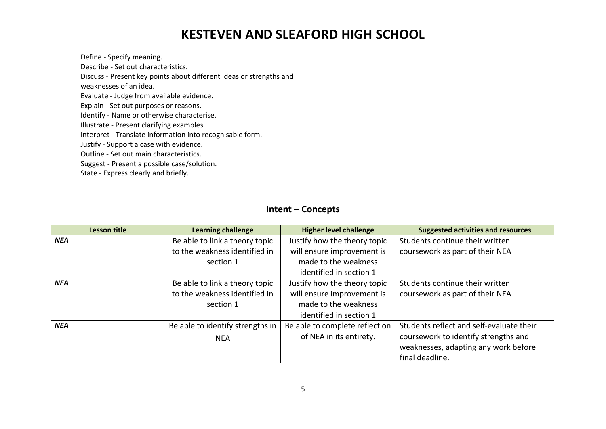| Define - Specify meaning.                                           |
|---------------------------------------------------------------------|
| Describe - Set out characteristics.                                 |
| Discuss - Present key points about different ideas or strengths and |
| weaknesses of an idea.                                              |
| Evaluate - Judge from available evidence.                           |
| Explain - Set out purposes or reasons.                              |
| Identify - Name or otherwise characterise.                          |
| Illustrate - Present clarifying examples.                           |
| Interpret - Translate information into recognisable form.           |
| Justify - Support a case with evidence.                             |
| Outline - Set out main characteristics.                             |
| Suggest - Present a possible case/solution.                         |
| State - Express clearly and briefly.                                |

#### **Intent – Concepts**

| <b>Lesson title</b> | <b>Learning challenge</b>        | <b>Higher level challenge</b>  | <b>Suggested activities and resources</b> |
|---------------------|----------------------------------|--------------------------------|-------------------------------------------|
| <b>NEA</b>          | Be able to link a theory topic   | Justify how the theory topic   | Students continue their written           |
|                     | to the weakness identified in    | will ensure improvement is     | coursework as part of their NEA           |
|                     | section 1                        | made to the weakness           |                                           |
|                     |                                  | identified in section 1        |                                           |
| <b>NEA</b>          | Be able to link a theory topic   | Justify how the theory topic   | Students continue their written           |
|                     | to the weakness identified in    | will ensure improvement is     | coursework as part of their NEA           |
|                     | section 1                        | made to the weakness           |                                           |
|                     |                                  | identified in section 1        |                                           |
| <b>NEA</b>          | Be able to identify strengths in | Be able to complete reflection | Students reflect and self-evaluate their  |
|                     | <b>NEA</b>                       | of NEA in its entirety.        | coursework to identify strengths and      |
|                     |                                  |                                | weaknesses, adapting any work before      |
|                     |                                  |                                | final deadline.                           |